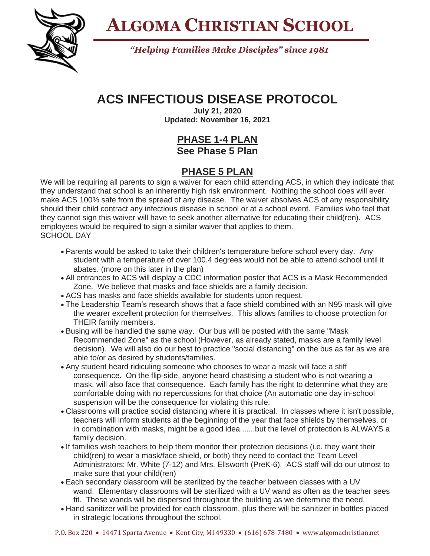

**ALGOMA CHRISTIAN SCHOOL**

*"Helping Families Make Disciples" since 1981*

## **ACS INFECTIOUS DISEASE PROTOCOL**

**July 21, 2020 Updated: November 16, 2021**

## **PHASE 1-4 PLAN See Phase 5 Plan**

## **PHASE 5 PLAN**

We will be requiring all parents to sign a waiver for each child attending ACS, in which they indicate that they understand that school is an inherently high risk environment. Nothing the school does will ever make ACS 100% safe from the spread of any disease. The waiver absolves ACS of any responsibility should their child contract any infectious disease in school or at a school event. Families who feel that they cannot sign this waiver will have to seek another alternative for educating their child(ren). ACS employees would be required to sign a similar waiver that applies to them. SCHOOL DAY

- Parents would be asked to take their children's temperature before school every day. Any student with a temperature of over 100.4 degrees would not be able to attend school until it abates. (more on this later in the plan)
- All entrances to ACS will display a CDC information poster that ACS is a Mask Recommended Zone. We believe that masks and face shields are a family decision.
- ACS has masks and face shields available for students upon request.
- The Leadership Team's research shows that a face shield combined with an N95 mask will give the wearer excellent protection for themselves. This allows families to choose protection for THEIR family members.
- Busing will be handled the same way. Our bus will be posted with the same "Mask Recommended Zone" as the school (However, as already stated, masks are a family level decision). We will also do our best to practice "social distancing" on the bus as far as we are able to/or as desired by students/families.
- Any student heard ridiculing someone who chooses to wear a mask will face a stiff consequence. On the flip-side, anyone heard chastising a student who is not wearing a mask, will also face that consequence. Each family has the right to determine what they are comfortable doing with no repercussions for that choice (An automatic one day in-school suspension will be the consequence for violating this rule.
- Classrooms will practice social distancing where it is practical. In classes where it isn't possible, teachers will inform students at the beginning of the year that face shields by themselves, or in combination with masks, might be a good idea.......but the level of protection is ALWAYS a family decision.
- If families wish teachers to help them monitor their protection decisions (i.e. they want their child(ren) to wear a mask/face shield, or both) they need to contact the Team Level Administrators: Mr. White (7-12) and Mrs. Ellsworth (PreK-6). ACS staff will do our utmost to make sure that your child(ren)
- Each secondary classroom will be sterilized by the teacher between classes with a UV wand. Elementary classrooms will be sterilized with a UV wand as often as the teacher sees fit. These wands will be dispersed throughout the building as we determine the need.
- Hand sanitizer will be provided for each classroom, plus there will be sanitizer in bottles placed in strategic locations throughout the school.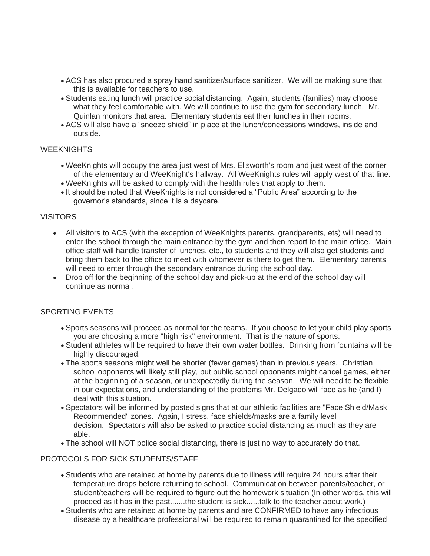- ACS has also procured a spray hand sanitizer/surface sanitizer. We will be making sure that this is available for teachers to use.
- Students eating lunch will practice social distancing. Again, students (families) may choose what they feel comfortable with. We will continue to use the gym for secondary lunch. Mr. Quinlan monitors that area. Elementary students eat their lunches in their rooms.
- ACS will also have a "sneeze shield" in place at the lunch/concessions windows, inside and outside.

#### **WEEKNIGHTS**

- WeeKnights will occupy the area just west of Mrs. Ellsworth's room and just west of the corner of the elementary and WeeKnight's hallway. All WeeKnights rules will apply west of that line.
- WeeKnights will be asked to comply with the health rules that apply to them.
- It should be noted that WeeKnights is not considered a "Public Area" according to the governor's standards, since it is a daycare.

#### VISITORS

- All visitors to ACS (with the exception of WeeKnights parents, grandparents, ets) will need to enter the school through the main entrance by the gym and then report to the main office. Main office staff will handle transfer of lunches, etc., to students and they will also get students and bring them back to the office to meet with whomever is there to get them. Elementary parents will need to enter through the secondary entrance during the school day.
- Drop off for the beginning of the school day and pick-up at the end of the school day will continue as normal.

#### SPORTING EVENTS

- Sports seasons will proceed as normal for the teams. If you choose to let your child play sports you are choosing a more "high risk" environment. That is the nature of sports.
- Student athletes will be required to have their own water bottles. Drinking from fountains will be highly discouraged.
- The sports seasons might well be shorter (fewer games) than in previous years. Christian school opponents will likely still play, but public school opponents might cancel games, either at the beginning of a season, or unexpectedly during the season. We will need to be flexible in our expectations, and understanding of the problems Mr. Delgado will face as he (and I) deal with this situation.
- Spectators will be informed by posted signs that at our athletic facilities are "Face Shield/Mask Recommended" zones. Again, I stress, face shields/masks are a family level decision. Spectators will also be asked to practice social distancing as much as they are able.
- The school will NOT police social distancing, there is just no way to accurately do that.

#### PROTOCOLS FOR SICK STUDENTS/STAFF

- Students who are retained at home by parents due to illness will require 24 hours after their temperature drops before returning to school. Communication between parents/teacher, or student/teachers will be required to figure out the homework situation (In other words, this will proceed as it has in the past.......the student is sick......talk to the teacher about work.)
- Students who are retained at home by parents and are CONFIRMED to have any infectious disease by a healthcare professional will be required to remain quarantined for the specified